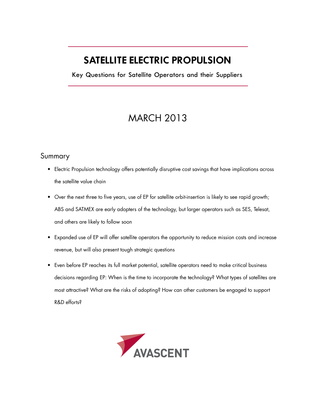# Satellite Electric Propulsion

Key Questions for Satellite Operators and their Suppliers

# **MARCH 2013**

# Summary

- • Electric Propulsion technology offers potentially disruptive cost savings that have implications across the satellite value chain
- • Over the next three to five years, use of EP for satellite orbit-insertion is likely to see rapid growth; ABS and SATMEX are early adopters of the technology, but larger operators such as SES, Telesat, and others are likely to follow soon
- • Expanded use of EP will offer satellite operators the opportunity to reduce mission costs and increase revenue, but will also present tough strategic questions
- • Even before EP reaches its full market potential, satellite operators need to make critical business decisions regarding EP: When is the time to incorporate the technology? What types of satellites are most attractive? What are the risks of adopting? How can other customers be engaged to support R&D efforts?

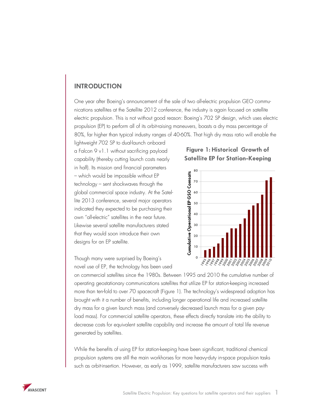### INTRODUCTION

One year after Boeing's announcement of the sale of two all-electric propulsion GEO communications satellites at the Satellite 2012 conference, the industry is again focused on satellite electric propulsion. This is not without good reason: Boeing's 702 SP design, which uses electric propulsion (EP) to perform all of its orbit-raising maneuvers, boasts a dry mass percentage of 80%, far higher than typical industry ranges of 40-60%. That high dry mass ratio will enable the

lightweight 702 SP to dual-launch onboard a Falcon 9 v1.1 without sacrificing payload capability (thereby cutting launch costs nearly in half). Its mission and financial parameters – which would be impossible without EP technology – sent shockwaves through the global commercial space industry. At the Satellite 2013 conference, several major operators indicated they expected to be purchasing their own "all-electric" satellites in the near future. Likewise several satellite manufacturers stated that they would soon introduce their own designs for an EP satellite.

Though many were surprised by Boeing's novel use of EP, the technology has been used

## Figure 1: Historical Growth of Satellite EP for Station-Keeping



on commercial satellites since the 1980s. Between 1995 and 2010 the cumulative number of operating geostationary communications satellites that utilize EP for station-keeping increased more than ten-fold to over 70 spacecraft (Figure 1). The technology's widespread adoption has brought with it a number of benefits, including longer operational life and increased satellite dry mass for a given launch mass (and conversely decreased launch mass for a given payload mass). For commercial satellite operators, these effects directly translate into the ability to decrease costs for equivalent satellite capability and increase the amount of total life revenue generated by satellites.

While the benefits of using EP for station-keeping have been significant, traditional chemical propulsion systems are still the main workhorses for more heavy-duty in-space propulsion tasks such as orbit-insertion. However, as early as 1999, satellite manufacturers saw success with

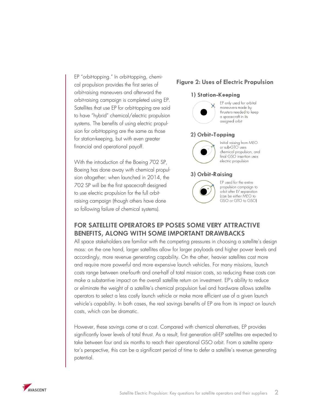EP "orbit-topping." In orbit-topping, chemical propulsion provides the first series of orbit-raising maneuvers and afterward the orbit-raising campaign is completed using EP. Satellites that use EP for orbit-topping are said to have "hybrid" chemical/electric propulsion systems. The benefits of using electric propulsion for orbit-topping are the same as those for station-keeping, but with even greater financial and operational payoff.

With the introduction of the Boeing 702 SP, Boeing has done away with chemical propulsion altogether: when launched in 2014, the 702 SP will be the first spacecraft designed to use electric propulsion for the full orbitraising campaign (though others have done so following failure of chemical systems).

## Figure 2: Uses of Electric Propulsion

#### 1) Station-Keeping



EP only used for orbital maneuvers made by thrusters needed to keep a spacecraft in its assigned orbit

#### 2) Orbit-Topping



Initial raising from MEO or sub-GTO uses chemical propulsion, and final GSO insertion uses electric propulsion

#### 3) Orbit-Raising



EP used for the entire propulsion campaign to orbit after LV separation (can be either MEO to GSO or GTO to GSO)

# FOR SATELLITE OPERATORS EP POSES SOME VERY ATTRACTIVE BENEFITS, ALONG WITH SOME IMPORTANT DRAWBACKS

All space stakeholders are familiar with the competing pressures in choosing a satellite's design mass: on the one hand, larger satellites allow for larger payloads and higher power levels and accordingly, more revenue generating capability. On the other, heavier satellites cost more and require more powerful and more expensive launch vehicles. For many missions, launch costs range between one-fourth and one-half of total mission costs, so reducing these costs can make a substantive impact on the overall satellite return on investment. EP's ability to reduce or eliminate the weight of a satellite's chemical propulsion fuel and hardware allows satellite operators to select a less costly launch vehicle or make more efficient use of a given launch vehicle's capability. In both cases, the real savings benefits of EP are from its impact on launch costs, which can be dramatic.

However, these savings come at a cost. Compared with chemical alternatives, EP provides significantly lower levels of total thrust. As a result, first generation all-EP satellites are expected to take between four and six months to reach their operational GSO orbit. From a satellite operator's perspective, this can be a significant period of time to defer a satellite's revenue generating potential.

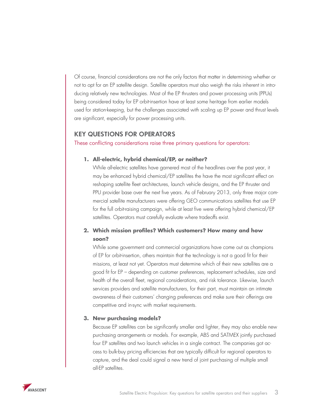Of course, financial considerations are not the only factors that matter in determining whether or not to opt for an EP satellite design. Satellite operators must also weigh the risks inherent in introducing relatively new technologies. Most of the EP thrusters and power processing units (PPUs) being considered today for EP orbit-insertion have at least some heritage from earlier models used for station-keeping, but the challenges associated with scaling up EP power and thrust levels are significant, especially for power processing units.

### KEY QUESTIONS FOR OPERATORS

These conflicting considerations raise three primary questions for operators:

#### **1. All-electric, hybrid chemical/EP, or neither?**

While all-electric satellites have garnered most of the headlines over the past year, it may be enhanced hybrid chemical/EP satellites the have the most significant effect on reshaping satellite fleet architectures, launch vehicle designs, and the EP thruster and PPU provider base over the next five years. As of February 2013, only three major commercial satellite manufacturers were offering GEO communications satellites that use EP for the full orbit-raising campaign, while at least five were offering hybrid chemical/EP satellites. Operators must carefully evaluate where tradeoffs exist.

## **2. Which mission profiles? Which customers? How many and how soon?**

While some government and commercial organizations have come out as champions of EP for orbit-insertion, others maintain that the technology is not a good fit for their missions, at least not yet. Operators must determine which of their new satellites are a good fit for EP – depending on customer preferences, replacement schedules, size and health of the overall fleet, regional considerations, and risk tolerance. Likewise, launch services providers and satellite manufacturers, for their part, must maintain an intimate awareness of their customers' changing preferences and make sure their offerings are competitive and in-sync with market requirements.

#### **3. New purchasing models?**

Because EP satellites can be significantly smaller and lighter, they may also enable new purchasing arrangements or models. For example, ABS and SATMEX jointly purchased four EP satellites and two launch vehicles in a single contract. The companies got access to bulk-buy pricing efficiencies that are typically difficult for regional operators to capture, and the deal could signal a new trend of joint purchasing of multiple small all-EP satellites.

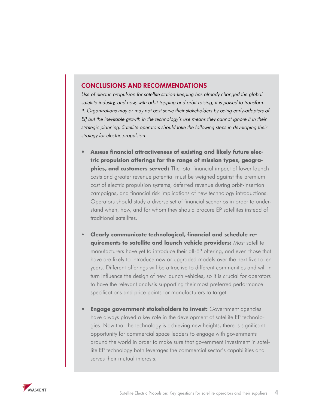#### CONCLUSIONS AND RECOMMENDATIONS

Use of electric propulsion for satellite station-keeping has already changed the global satellite industry, and now, with orbit-topping and orbit-raising, it is poised to transform it. Organizations may or may not best serve their stakeholders by being early-adopters of EP, but the inevitable growth in the technology's use means they cannot ignore it in their strategic planning. Satellite operators should take the following steps in developing their strategy for electric propulsion:

- **Assess financial attractiveness of existing and likely future electric propulsion offerings for the range of mission types, geographies, and customers served:** The total financial impact of lower launch costs and greater revenue potential must be weighed against the premium cost of electric propulsion systems, deferred revenue during orbit-insertion campaigns, and financial risk implications of new technology introductions. Operators should study a diverse set of financial scenarios in order to understand when, how, and for whom they should procure EP satellites instead of traditional satellites.
- **Clearly communicate technological, financial and schedule requirements to satellite and launch vehicle providers:** Most satellite manufacturers have yet to introduce their all-EP offering, and even those that have are likely to introduce new or upgraded models over the next five to ten years. Different offerings will be attractive to different communities and will in turn influence the design of new launch vehicles, so it is crucial for operators to have the relevant analysis supporting their most preferred performance specifications and price points for manufacturers to target.
- **Engage government stakeholders to invest:** Government agencies have always played a key role in the development of satellite EP technologies. Now that the technology is achieving new heights, there is significant opportunity for commercial space leaders to engage with governments around the world in order to make sure that government investment in satellite EP technology both leverages the commercial sector's capabilities and serves their mutual interests.